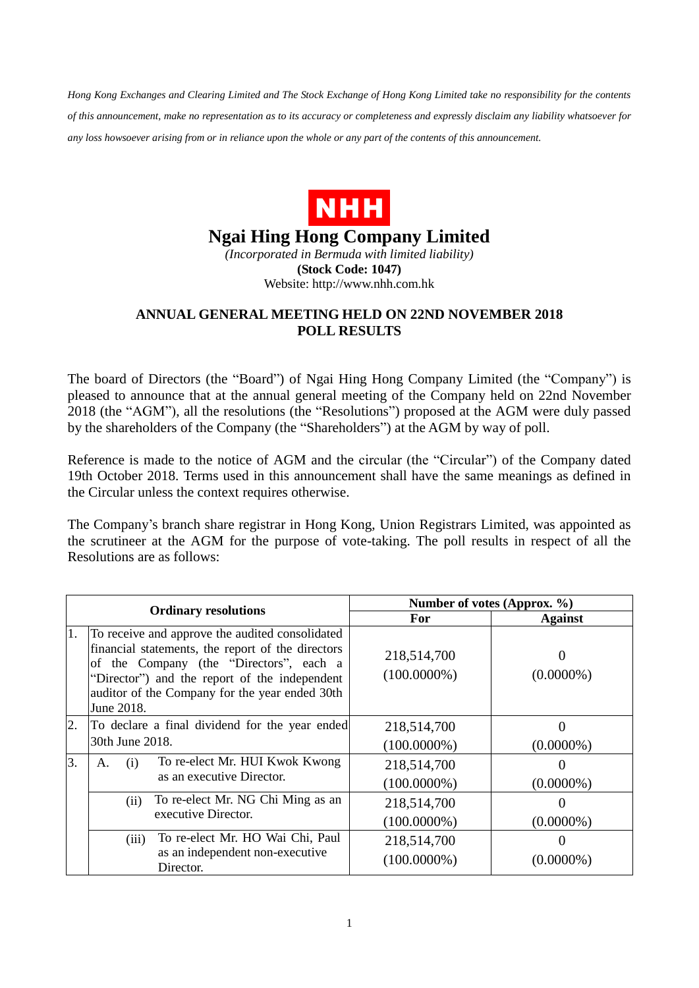*Hong Kong Exchanges and Clearing Limited and The Stock Exchange of Hong Kong Limited take no responsibility for the contents of this announcement, make no representation as to its accuracy or completeness and expressly disclaim any liability whatsoever for any loss howsoever arising from or in reliance upon the whole or any part of the contents of this announcement.*



## **Ngai Hing Hong Company Limited**

*(Incorporated in Bermuda with limited liability)* **(Stock Code: 1047)** Website: http://www.nhh.com.hk

## **ANNUAL GENERAL MEETING HELD ON 22ND NOVEMBER 2018 POLL RESULTS**

The board of Directors (the "Board") of Ngai Hing Hong Company Limited (the "Company") is pleased to announce that at the annual general meeting of the Company held on 22nd November 2018 (the "AGM"), all the resolutions (the "Resolutions") proposed at the AGM were duly passed by the shareholders of the Company (the "Shareholders") at the AGM by way of poll.

Reference is made to the notice of AGM and the circular (the "Circular") of the Company dated 19th October 2018. Terms used in this announcement shall have the same meanings as defined in the Circular unless the context requires otherwise.

The Company's branch share registrar in Hong Kong, Union Registrars Limited, was appointed as the scrutineer at the AGM for the purpose of vote-taking. The poll results in respect of all the Resolutions are as follows:

| <b>Ordinary resolutions</b> |                                                                                                                                                                                                                                                                  | Number of votes (Approx. %)   |                |
|-----------------------------|------------------------------------------------------------------------------------------------------------------------------------------------------------------------------------------------------------------------------------------------------------------|-------------------------------|----------------|
|                             |                                                                                                                                                                                                                                                                  | For                           | <b>Against</b> |
| 1.                          | To receive and approve the audited consolidated<br>financial statements, the report of the directors<br>of the Company (the "Directors", each a<br>"Director") and the report of the independent<br>auditor of the Company for the year ended 30th<br>June 2018. | 218,514,700<br>$(100.0000\%)$ | $(0.0000\%)$   |
| 2.                          | To declare a final dividend for the year ended                                                                                                                                                                                                                   | 218,514,700                   |                |
|                             | 30th June 2018.                                                                                                                                                                                                                                                  | $(100.0000\%)$                | $(0.0000\%)$   |
| 3.                          | To re-elect Mr. HUI Kwok Kwong<br>(i)<br>А.<br>as an executive Director.                                                                                                                                                                                         | 218,514,700                   |                |
|                             |                                                                                                                                                                                                                                                                  | $(100.0000\%)$                | $(0.0000\%)$   |
|                             | To re-elect Mr. NG Chi Ming as an<br>(ii)                                                                                                                                                                                                                        | 218,514,700                   |                |
|                             | executive Director.                                                                                                                                                                                                                                              | $(100.0000\%)$                | $(0.0000\%)$   |
|                             | To re-elect Mr. HO Wai Chi, Paul<br>(iii)<br>as an independent non-executive<br>Director.                                                                                                                                                                        | 218,514,700<br>$(100.0000\%)$ | $(0.0000\%)$   |